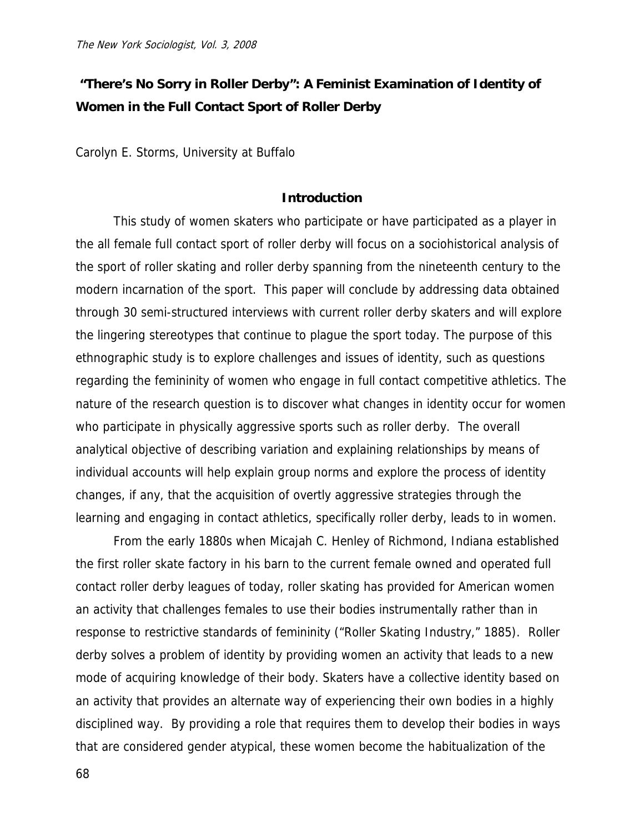# **"There's No Sorry in Roller Derby": A Feminist Examination of Identity of Women in the Full Contact Sport of Roller Derby**

Carolyn E. Storms, University at Buffalo

## **Introduction**

 This study of women skaters who participate or have participated as a player in the all female full contact sport of roller derby will focus on a sociohistorical analysis of the sport of roller skating and roller derby spanning from the nineteenth century to the modern incarnation of the sport. This paper will conclude by addressing data obtained through 30 semi-structured interviews with current roller derby skaters and will explore the lingering stereotypes that continue to plague the sport today. The purpose of this ethnographic study is to explore challenges and issues of identity, such as questions regarding the femininity of women who engage in full contact competitive athletics. The nature of the research question is to discover what changes in identity occur for women who participate in physically aggressive sports such as roller derby. The overall analytical objective of describing variation and explaining relationships by means of individual accounts will help explain group norms and explore the process of identity changes, if any, that the acquisition of overtly aggressive strategies through the learning and engaging in contact athletics, specifically roller derby, leads to in women.

 From the early 1880s when Micajah C. Henley of Richmond, Indiana established the first roller skate factory in his barn to the current female owned and operated full contact roller derby leagues of today, roller skating has provided for American women an activity that challenges females to use their bodies instrumentally rather than in response to restrictive standards of femininity ("Roller Skating Industry," 1885). Roller derby solves a problem of identity by providing women an activity that leads to a new mode of acquiring knowledge of their body. Skaters have a collective identity based on an activity that provides an alternate way of experiencing their own bodies in a highly disciplined way. By providing a role that requires them to develop their bodies in ways that are considered gender atypical, these women become the habitualization of the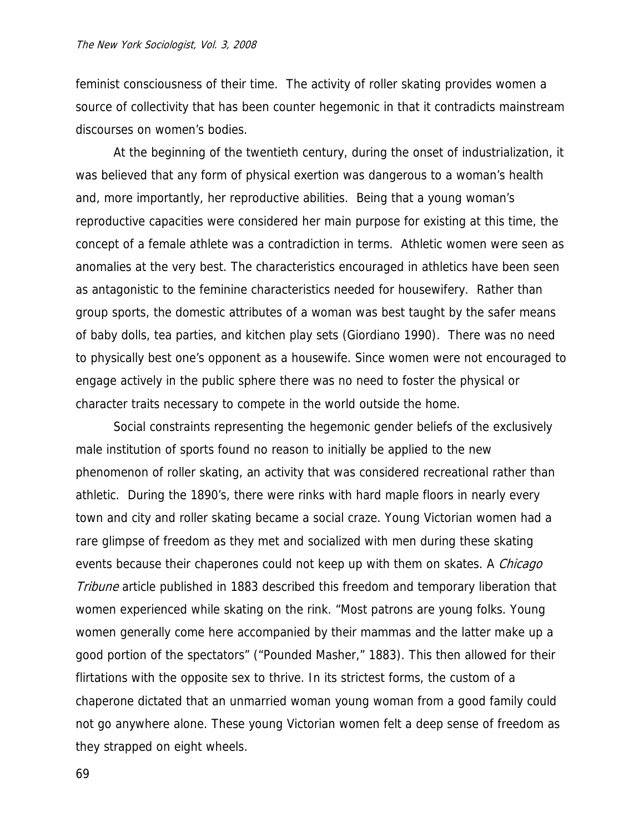feminist consciousness of their time. The activity of roller skating provides women a source of collectivity that has been counter hegemonic in that it contradicts mainstream discourses on women's bodies.

 At the beginning of the twentieth century, during the onset of industrialization, it was believed that any form of physical exertion was dangerous to a woman's health and, more importantly, her reproductive abilities. Being that a young woman's reproductive capacities were considered her main purpose for existing at this time, the concept of a female athlete was a contradiction in terms. Athletic women were seen as anomalies at the very best. The characteristics encouraged in athletics have been seen as antagonistic to the feminine characteristics needed for housewifery. Rather than group sports, the domestic attributes of a woman was best taught by the safer means of baby dolls, tea parties, and kitchen play sets (Giordiano 1990). There was no need to physically best one's opponent as a housewife. Since women were not encouraged to engage actively in the public sphere there was no need to foster the physical or character traits necessary to compete in the world outside the home.

 Social constraints representing the hegemonic gender beliefs of the exclusively male institution of sports found no reason to initially be applied to the new phenomenon of roller skating, an activity that was considered recreational rather than athletic. During the 1890's, there were rinks with hard maple floors in nearly every town and city and roller skating became a social craze. Young Victorian women had a rare glimpse of freedom as they met and socialized with men during these skating events because their chaperones could not keep up with them on skates. A *Chicago* Tribune article published in 1883 described this freedom and temporary liberation that women experienced while skating on the rink. "Most patrons are young folks. Young women generally come here accompanied by their mammas and the latter make up a good portion of the spectators" ("Pounded Masher," 1883). This then allowed for their flirtations with the opposite sex to thrive. In its strictest forms, the custom of a chaperone dictated that an unmarried woman young woman from a good family could not go anywhere alone. These young Victorian women felt a deep sense of freedom as they strapped on eight wheels.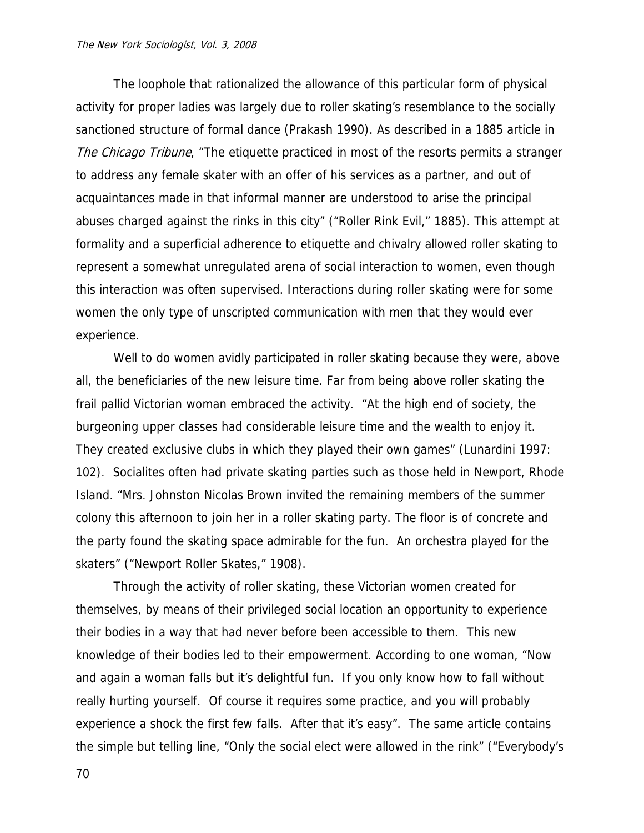The loophole that rationalized the allowance of this particular form of physical activity for proper ladies was largely due to roller skating's resemblance to the socially sanctioned structure of formal dance (Prakash 1990). As described in a 1885 article in The Chicago Tribune, "The etiquette practiced in most of the resorts permits a stranger to address any female skater with an offer of his services as a partner, and out of acquaintances made in that informal manner are understood to arise the principal abuses charged against the rinks in this city" ("Roller Rink Evil," 1885). This attempt at formality and a superficial adherence to etiquette and chivalry allowed roller skating to represent a somewhat unregulated arena of social interaction to women, even though this interaction was often supervised. Interactions during roller skating were for some women the only type of unscripted communication with men that they would ever experience.

 Well to do women avidly participated in roller skating because they were, above all, the beneficiaries of the new leisure time. Far from being above roller skating the frail pallid Victorian woman embraced the activity. "At the high end of society, the burgeoning upper classes had considerable leisure time and the wealth to enjoy it. They created exclusive clubs in which they played their own games" (Lunardini 1997: 102). Socialites often had private skating parties such as those held in Newport, Rhode Island. "Mrs. Johnston Nicolas Brown invited the remaining members of the summer colony this afternoon to join her in a roller skating party. The floor is of concrete and the party found the skating space admirable for the fun. An orchestra played for the skaters" ("Newport Roller Skates," 1908).

 Through the activity of roller skating, these Victorian women created for themselves, by means of their privileged social location an opportunity to experience their bodies in a way that had never before been accessible to them. This new knowledge of their bodies led to their empowerment. According to one woman, "Now and again a woman falls but it's delightful fun. If you only know how to fall without really hurting yourself. Of course it requires some practice, and you will probably experience a shock the first few falls. After that it's easy". The same article contains the simple but telling line, "Only the social elect were allowed in the rink" ("Everybody's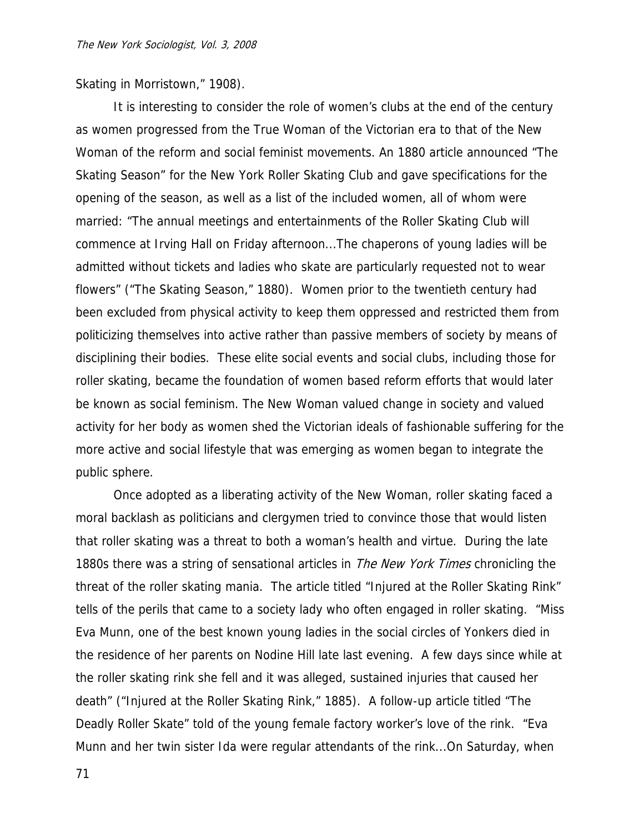Skating in Morristown," 1908).

 It is interesting to consider the role of women's clubs at the end of the century as women progressed from the True Woman of the Victorian era to that of the New Woman of the reform and social feminist movements. An 1880 article announced "The Skating Season" for the New York Roller Skating Club and gave specifications for the opening of the season, as well as a list of the included women, all of whom were married: "The annual meetings and entertainments of the Roller Skating Club will commence at Irving Hall on Friday afternoon...The chaperons of young ladies will be admitted without tickets and ladies who skate are particularly requested not to wear flowers" ("The Skating Season," 1880). Women prior to the twentieth century had been excluded from physical activity to keep them oppressed and restricted them from politicizing themselves into active rather than passive members of society by means of disciplining their bodies. These elite social events and social clubs, including those for roller skating, became the foundation of women based reform efforts that would later be known as social feminism. The New Woman valued change in society and valued activity for her body as women shed the Victorian ideals of fashionable suffering for the more active and social lifestyle that was emerging as women began to integrate the public sphere.

 Once adopted as a liberating activity of the New Woman, roller skating faced a moral backlash as politicians and clergymen tried to convince those that would listen that roller skating was a threat to both a woman's health and virtue. During the late 1880s there was a string of sensational articles in *The New York Times* chronicling the threat of the roller skating mania. The article titled "Injured at the Roller Skating Rink" tells of the perils that came to a society lady who often engaged in roller skating. "Miss Eva Munn, one of the best known young ladies in the social circles of Yonkers died in the residence of her parents on Nodine Hill late last evening. A few days since while at the roller skating rink she fell and it was alleged, sustained injuries that caused her death" ("Injured at the Roller Skating Rink," 1885). A follow-up article titled "The Deadly Roller Skate" told of the young female factory worker's love of the rink. "Eva Munn and her twin sister Ida were regular attendants of the rink...On Saturday, when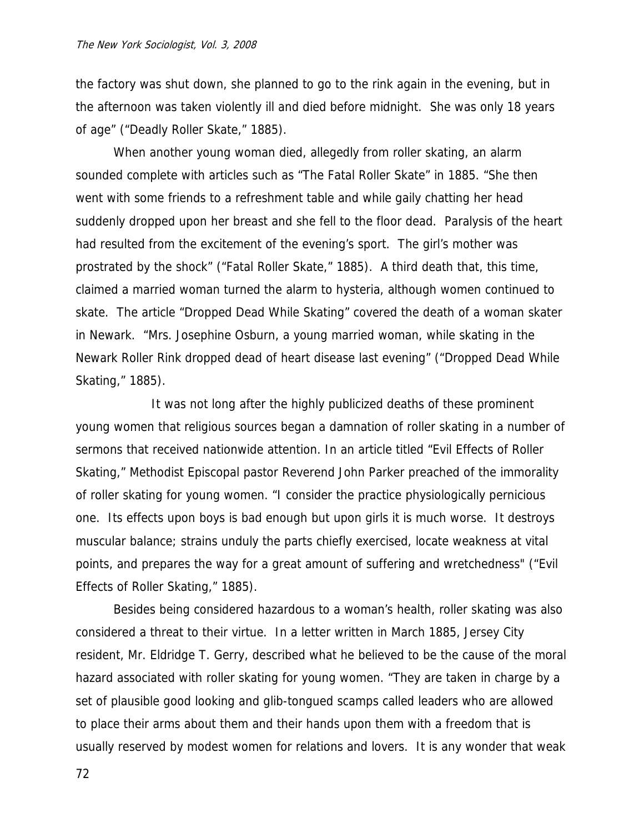the factory was shut down, she planned to go to the rink again in the evening, but in the afternoon was taken violently ill and died before midnight. She was only 18 years of age" ("Deadly Roller Skate," 1885).

 When another young woman died, allegedly from roller skating, an alarm sounded complete with articles such as "The Fatal Roller Skate" in 1885. "She then went with some friends to a refreshment table and while gaily chatting her head suddenly dropped upon her breast and she fell to the floor dead. Paralysis of the heart had resulted from the excitement of the evening's sport. The girl's mother was prostrated by the shock" ("Fatal Roller Skate," 1885). A third death that, this time, claimed a married woman turned the alarm to hysteria, although women continued to skate. The article "Dropped Dead While Skating" covered the death of a woman skater in Newark. "Mrs. Josephine Osburn, a young married woman, while skating in the Newark Roller Rink dropped dead of heart disease last evening" ("Dropped Dead While Skating," 1885).

 It was not long after the highly publicized deaths of these prominent young women that religious sources began a damnation of roller skating in a number of sermons that received nationwide attention. In an article titled "Evil Effects of Roller Skating," Methodist Episcopal pastor Reverend John Parker preached of the immorality of roller skating for young women. "I consider the practice physiologically pernicious one. Its effects upon boys is bad enough but upon girls it is much worse. It destroys muscular balance; strains unduly the parts chiefly exercised, locate weakness at vital points, and prepares the way for a great amount of suffering and wretchedness" ("Evil Effects of Roller Skating," 1885).

 Besides being considered hazardous to a woman's health, roller skating was also considered a threat to their virtue. In a letter written in March 1885, Jersey City resident, Mr. Eldridge T. Gerry, described what he believed to be the cause of the moral hazard associated with roller skating for young women. "They are taken in charge by a set of plausible good looking and glib-tongued scamps called leaders who are allowed to place their arms about them and their hands upon them with a freedom that is usually reserved by modest women for relations and lovers. It is any wonder that weak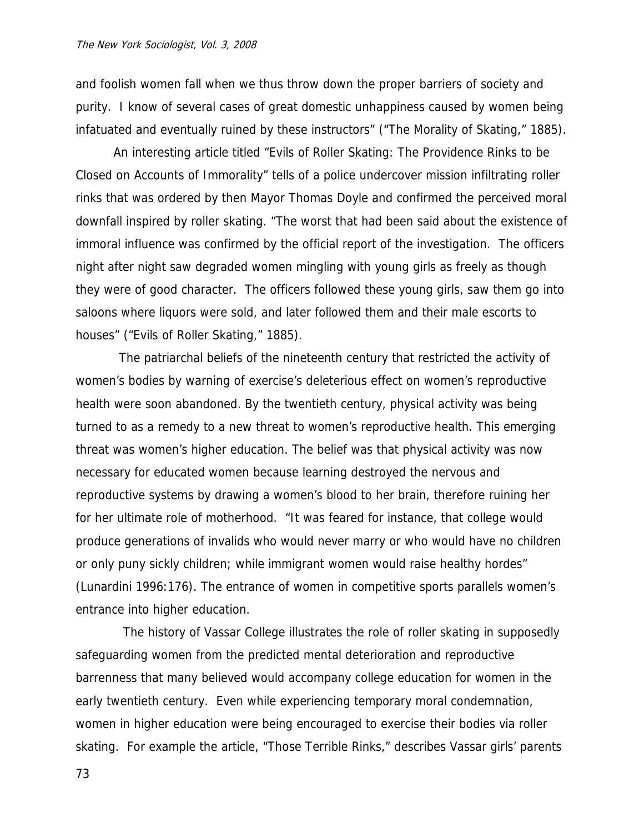and foolish women fall when we thus throw down the proper barriers of society and purity. I know of several cases of great domestic unhappiness caused by women being infatuated and eventually ruined by these instructors" ("The Morality of Skating," 1885).

 An interesting article titled "Evils of Roller Skating: The Providence Rinks to be Closed on Accounts of Immorality" tells of a police undercover mission infiltrating roller rinks that was ordered by then Mayor Thomas Doyle and confirmed the perceived moral downfall inspired by roller skating. "The worst that had been said about the existence of immoral influence was confirmed by the official report of the investigation. The officers night after night saw degraded women mingling with young girls as freely as though they were of good character. The officers followed these young girls, saw them go into saloons where liquors were sold, and later followed them and their male escorts to houses" ("Evils of Roller Skating," 1885).

 The patriarchal beliefs of the nineteenth century that restricted the activity of women's bodies by warning of exercise's deleterious effect on women's reproductive health were soon abandoned. By the twentieth century, physical activity was being turned to as a remedy to a new threat to women's reproductive health. This emerging threat was women's higher education. The belief was that physical activity was now necessary for educated women because learning destroyed the nervous and reproductive systems by drawing a women's blood to her brain, therefore ruining her for her ultimate role of motherhood. "It was feared for instance, that college would produce generations of invalids who would never marry or who would have no children or only puny sickly children; while immigrant women would raise healthy hordes" (Lunardini 1996:176). The entrance of women in competitive sports parallels women's entrance into higher education.

 The history of Vassar College illustrates the role of roller skating in supposedly safeguarding women from the predicted mental deterioration and reproductive barrenness that many believed would accompany college education for women in the early twentieth century. Even while experiencing temporary moral condemnation, women in higher education were being encouraged to exercise their bodies via roller skating. For example the article, "Those Terrible Rinks," describes Vassar girls' parents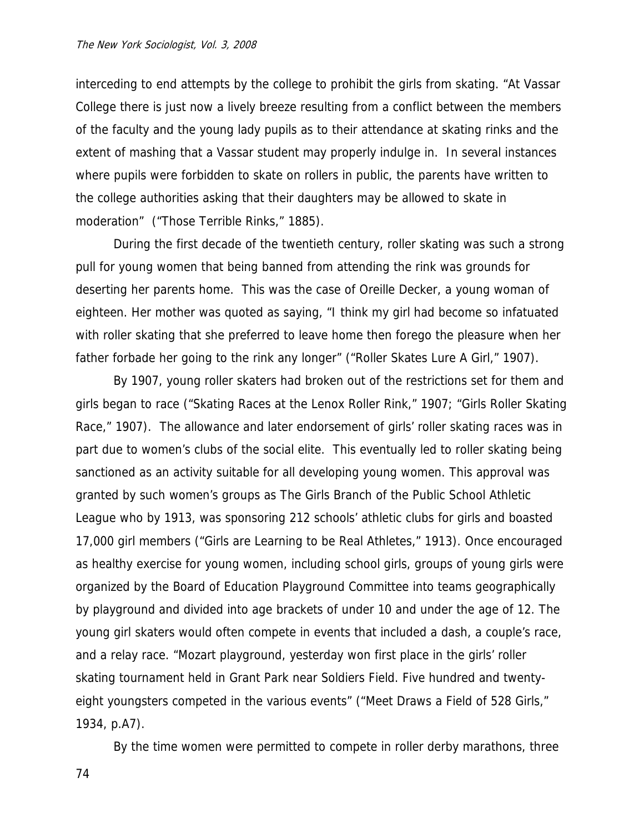interceding to end attempts by the college to prohibit the girls from skating. "At Vassar College there is just now a lively breeze resulting from a conflict between the members of the faculty and the young lady pupils as to their attendance at skating rinks and the extent of mashing that a Vassar student may properly indulge in. In several instances where pupils were forbidden to skate on rollers in public, the parents have written to the college authorities asking that their daughters may be allowed to skate in moderation" ("Those Terrible Rinks," 1885).

 During the first decade of the twentieth century, roller skating was such a strong pull for young women that being banned from attending the rink was grounds for deserting her parents home. This was the case of Oreille Decker, a young woman of eighteen. Her mother was quoted as saying, "I think my girl had become so infatuated with roller skating that she preferred to leave home then forego the pleasure when her father forbade her going to the rink any longer" ("Roller Skates Lure A Girl," 1907).

 By 1907, young roller skaters had broken out of the restrictions set for them and girls began to race ("Skating Races at the Lenox Roller Rink," 1907; "Girls Roller Skating Race," 1907). The allowance and later endorsement of girls' roller skating races was in part due to women's clubs of the social elite. This eventually led to roller skating being sanctioned as an activity suitable for all developing young women. This approval was granted by such women's groups as The Girls Branch of the Public School Athletic League who by 1913, was sponsoring 212 schools' athletic clubs for girls and boasted 17,000 girl members ("Girls are Learning to be Real Athletes," 1913). Once encouraged as healthy exercise for young women, including school girls, groups of young girls were organized by the Board of Education Playground Committee into teams geographically by playground and divided into age brackets of under 10 and under the age of 12. The young girl skaters would often compete in events that included a dash, a couple's race, and a relay race. "Mozart playground, yesterday won first place in the girls' roller skating tournament held in Grant Park near Soldiers Field. Five hundred and twentyeight youngsters competed in the various events" ("Meet Draws a Field of 528 Girls," 1934, p.A7).

By the time women were permitted to compete in roller derby marathons, three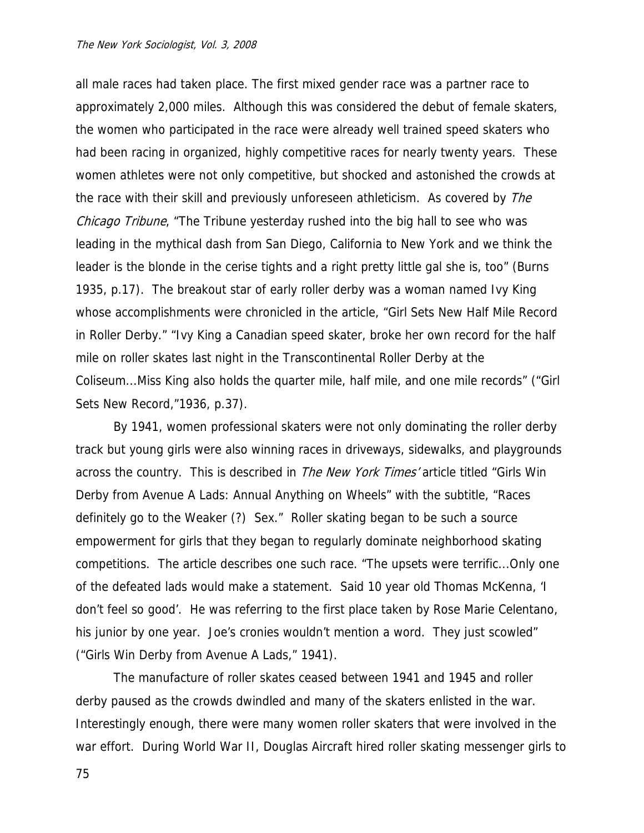all male races had taken place. The first mixed gender race was a partner race to approximately 2,000 miles. Although this was considered the debut of female skaters, the women who participated in the race were already well trained speed skaters who had been racing in organized, highly competitive races for nearly twenty years. These women athletes were not only competitive, but shocked and astonished the crowds at the race with their skill and previously unforeseen athleticism. As covered by *The* Chicago Tribune, "The Tribune yesterday rushed into the big hall to see who was leading in the mythical dash from San Diego, California to New York and we think the leader is the blonde in the cerise tights and a right pretty little gal she is, too" (Burns 1935, p.17). The breakout star of early roller derby was a woman named Ivy King whose accomplishments were chronicled in the article, "Girl Sets New Half Mile Record in Roller Derby." "Ivy King a Canadian speed skater, broke her own record for the half mile on roller skates last night in the Transcontinental Roller Derby at the Coliseum...Miss King also holds the quarter mile, half mile, and one mile records" ("Girl Sets New Record,"1936, p.37).

 By 1941, women professional skaters were not only dominating the roller derby track but young girls were also winning races in driveways, sidewalks, and playgrounds across the country. This is described in *The New York Times'* article titled "Girls Win Derby from Avenue A Lads: Annual Anything on Wheels" with the subtitle, "Races definitely go to the Weaker (?) Sex." Roller skating began to be such a source empowerment for girls that they began to regularly dominate neighborhood skating competitions. The article describes one such race. "The upsets were terrific...Only one of the defeated lads would make a statement. Said 10 year old Thomas McKenna, 'I don't feel so good'. He was referring to the first place taken by Rose Marie Celentano, his junior by one year. Joe's cronies wouldn't mention a word. They just scowled" ("Girls Win Derby from Avenue A Lads," 1941).

 The manufacture of roller skates ceased between 1941 and 1945 and roller derby paused as the crowds dwindled and many of the skaters enlisted in the war. Interestingly enough, there were many women roller skaters that were involved in the war effort. During World War II, Douglas Aircraft hired roller skating messenger girls to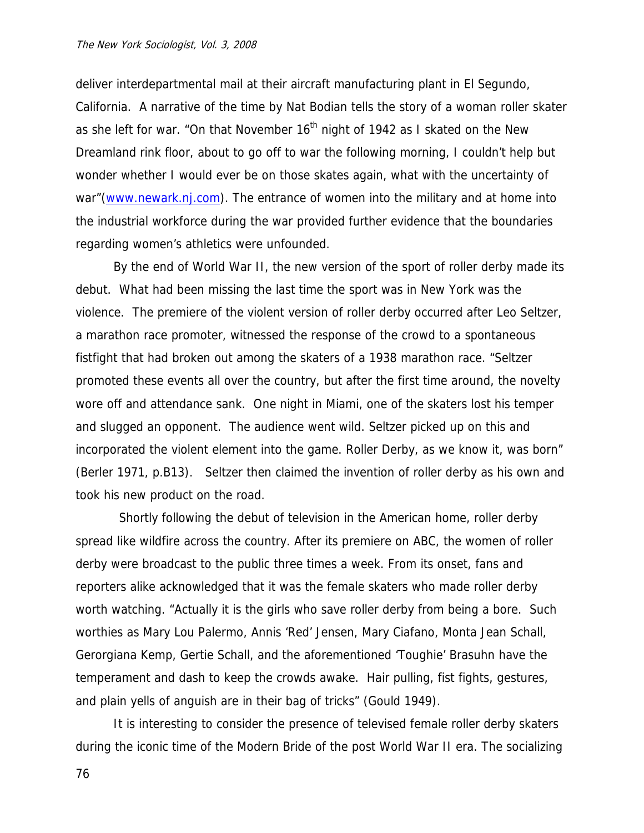deliver interdepartmental mail at their aircraft manufacturing plant in El Segundo, California. A narrative of the time by Nat Bodian tells the story of a woman roller skater as she left for war. "On that November  $16<sup>th</sup>$  night of 1942 as I skated on the New Dreamland rink floor, about to go off to war the following morning, I couldn't help but wonder whether I would ever be on those skates again, what with the uncertainty of war"([www.newark.nj.com](http://www.newark.nj.com/)). The entrance of women into the military and at home into the industrial workforce during the war provided further evidence that the boundaries regarding women's athletics were unfounded.

 By the end of World War II, the new version of the sport of roller derby made its debut. What had been missing the last time the sport was in New York was the violence. The premiere of the violent version of roller derby occurred after Leo Seltzer, a marathon race promoter, witnessed the response of the crowd to a spontaneous fistfight that had broken out among the skaters of a 1938 marathon race. "Seltzer promoted these events all over the country, but after the first time around, the novelty wore off and attendance sank. One night in Miami, one of the skaters lost his temper and slugged an opponent. The audience went wild. Seltzer picked up on this and incorporated the violent element into the game. Roller Derby, as we know it, was born" (Berler 1971, p.B13). Seltzer then claimed the invention of roller derby as his own and took his new product on the road.

 Shortly following the debut of television in the American home, roller derby spread like wildfire across the country. After its premiere on ABC, the women of roller derby were broadcast to the public three times a week. From its onset, fans and reporters alike acknowledged that it was the female skaters who made roller derby worth watching. "Actually it is the girls who save roller derby from being a bore. Such worthies as Mary Lou Palermo, Annis 'Red' Jensen, Mary Ciafano, Monta Jean Schall, Gerorgiana Kemp, Gertie Schall, and the aforementioned 'Toughie' Brasuhn have the temperament and dash to keep the crowds awake. Hair pulling, fist fights, gestures, and plain yells of anguish are in their bag of tricks" (Gould 1949).

 It is interesting to consider the presence of televised female roller derby skaters during the iconic time of the Modern Bride of the post World War II era. The socializing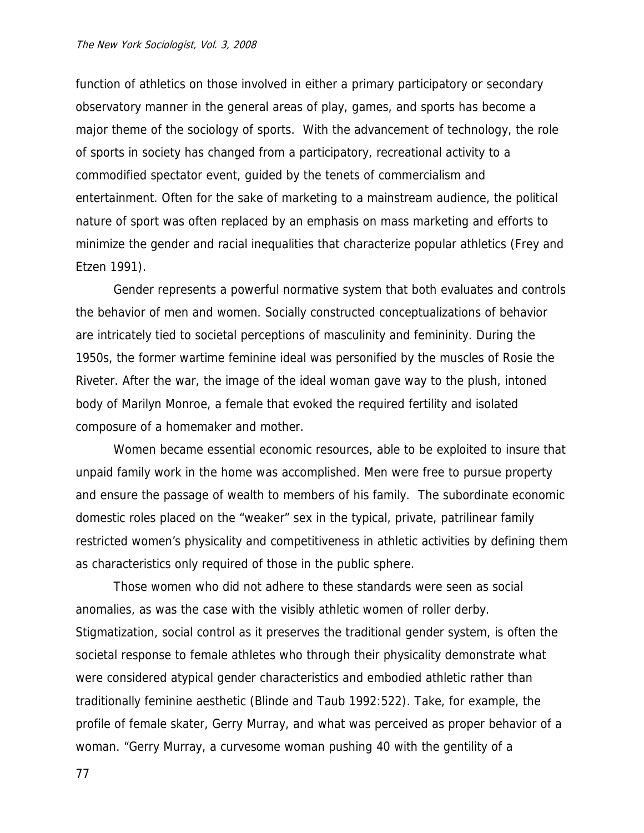function of athletics on those involved in either a primary participatory or secondary observatory manner in the general areas of play, games, and sports has become a major theme of the sociology of sports. With the advancement of technology, the role of sports in society has changed from a participatory, recreational activity to a commodified spectator event, guided by the tenets of commercialism and entertainment. Often for the sake of marketing to a mainstream audience, the political nature of sport was often replaced by an emphasis on mass marketing and efforts to minimize the gender and racial inequalities that characterize popular athletics (Frey and Etzen 1991).

 Gender represents a powerful normative system that both evaluates and controls the behavior of men and women. Socially constructed conceptualizations of behavior are intricately tied to societal perceptions of masculinity and femininity. During the 1950s, the former wartime feminine ideal was personified by the muscles of Rosie the Riveter. After the war, the image of the ideal woman gave way to the plush, intoned body of Marilyn Monroe, a female that evoked the required fertility and isolated composure of a homemaker and mother.

 Women became essential economic resources, able to be exploited to insure that unpaid family work in the home was accomplished. Men were free to pursue property and ensure the passage of wealth to members of his family. The subordinate economic domestic roles placed on the "weaker" sex in the typical, private, patrilinear family restricted women's physicality and competitiveness in athletic activities by defining them as characteristics only required of those in the public sphere.

 Those women who did not adhere to these standards were seen as social anomalies, as was the case with the visibly athletic women of roller derby. Stigmatization, social control as it preserves the traditional gender system, is often the societal response to female athletes who through their physicality demonstrate what were considered atypical gender characteristics and embodied athletic rather than traditionally feminine aesthetic (Blinde and Taub 1992:522). Take, for example, the profile of female skater, Gerry Murray, and what was perceived as proper behavior of a woman. "Gerry Murray, a curvesome woman pushing 40 with the gentility of a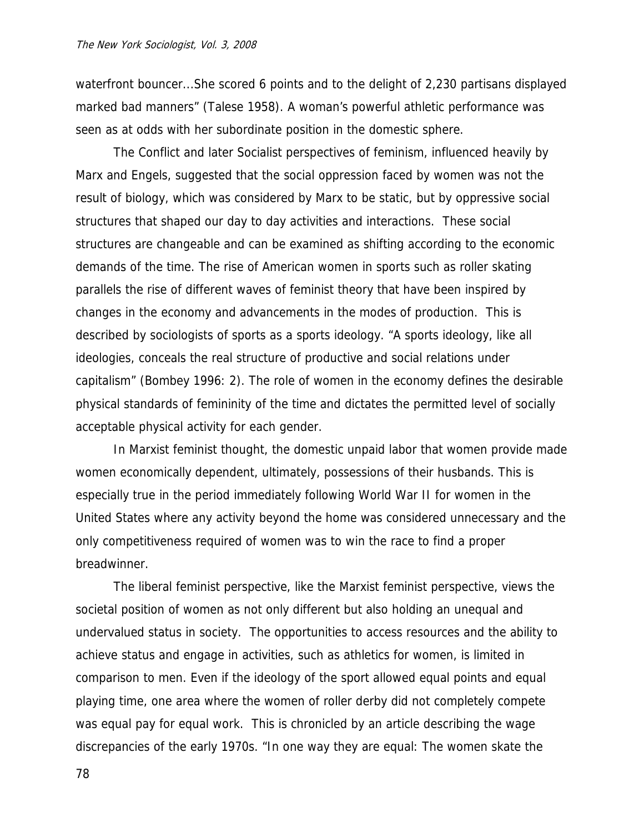waterfront bouncer...She scored 6 points and to the delight of 2,230 partisans displayed marked bad manners" (Talese 1958). A woman's powerful athletic performance was seen as at odds with her subordinate position in the domestic sphere.

 The Conflict and later Socialist perspectives of feminism, influenced heavily by Marx and Engels, suggested that the social oppression faced by women was not the result of biology, which was considered by Marx to be static, but by oppressive social structures that shaped our day to day activities and interactions. These social structures are changeable and can be examined as shifting according to the economic demands of the time. The rise of American women in sports such as roller skating parallels the rise of different waves of feminist theory that have been inspired by changes in the economy and advancements in the modes of production. This is described by sociologists of sports as a sports ideology. "A sports ideology, like all ideologies, conceals the real structure of productive and social relations under capitalism" (Bombey 1996: 2). The role of women in the economy defines the desirable physical standards of femininity of the time and dictates the permitted level of socially acceptable physical activity for each gender.

 In Marxist feminist thought, the domestic unpaid labor that women provide made women economically dependent, ultimately, possessions of their husbands. This is especially true in the period immediately following World War II for women in the United States where any activity beyond the home was considered unnecessary and the only competitiveness required of women was to win the race to find a proper breadwinner.

 The liberal feminist perspective, like the Marxist feminist perspective, views the societal position of women as not only different but also holding an unequal and undervalued status in society. The opportunities to access resources and the ability to achieve status and engage in activities, such as athletics for women, is limited in comparison to men. Even if the ideology of the sport allowed equal points and equal playing time, one area where the women of roller derby did not completely compete was equal pay for equal work. This is chronicled by an article describing the wage discrepancies of the early 1970s. "In one way they are equal: The women skate the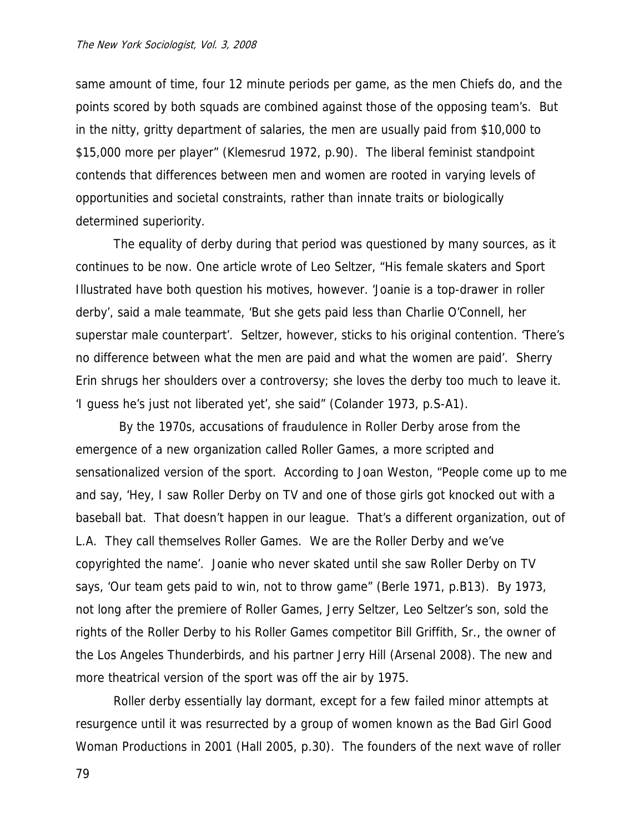same amount of time, four 12 minute periods per game, as the men Chiefs do, and the points scored by both squads are combined against those of the opposing team's. But in the nitty, gritty department of salaries, the men are usually paid from \$10,000 to \$15,000 more per player" (Klemesrud 1972, p.90). The liberal feminist standpoint contends that differences between men and women are rooted in varying levels of opportunities and societal constraints, rather than innate traits or biologically determined superiority.

 The equality of derby during that period was questioned by many sources, as it continues to be now. One article wrote of Leo Seltzer, "His female skaters and Sport Illustrated have both question his motives, however. 'Joanie is a top-drawer in roller derby', said a male teammate, 'But she gets paid less than Charlie O'Connell, her superstar male counterpart'. Seltzer, however, sticks to his original contention. 'There's no difference between what the men are paid and what the women are paid'. Sherry Erin shrugs her shoulders over a controversy; she loves the derby too much to leave it. 'I guess he's just not liberated yet', she said" (Colander 1973, p.S-A1).

 By the 1970s, accusations of fraudulence in Roller Derby arose from the emergence of a new organization called Roller Games, a more scripted and sensationalized version of the sport. According to Joan Weston, "People come up to me and say, 'Hey, I saw Roller Derby on TV and one of those girls got knocked out with a baseball bat. That doesn't happen in our league. That's a different organization, out of L.A. They call themselves Roller Games. We are the Roller Derby and we've copyrighted the name'. Joanie who never skated until she saw Roller Derby on TV says, 'Our team gets paid to win, not to throw game" (Berle 1971, p.B13). By 1973, not long after the premiere of Roller Games, Jerry Seltzer, Leo Seltzer's son, sold the rights of the Roller Derby to his Roller Games competitor Bill Griffith, Sr., the owner of the Los Angeles Thunderbirds, and his partner Jerry Hill (Arsenal 2008). The new and more theatrical version of the sport was off the air by 1975.

 Roller derby essentially lay dormant, except for a few failed minor attempts at resurgence until it was resurrected by a group of women known as the Bad Girl Good Woman Productions in 2001 (Hall 2005, p.30). The founders of the next wave of roller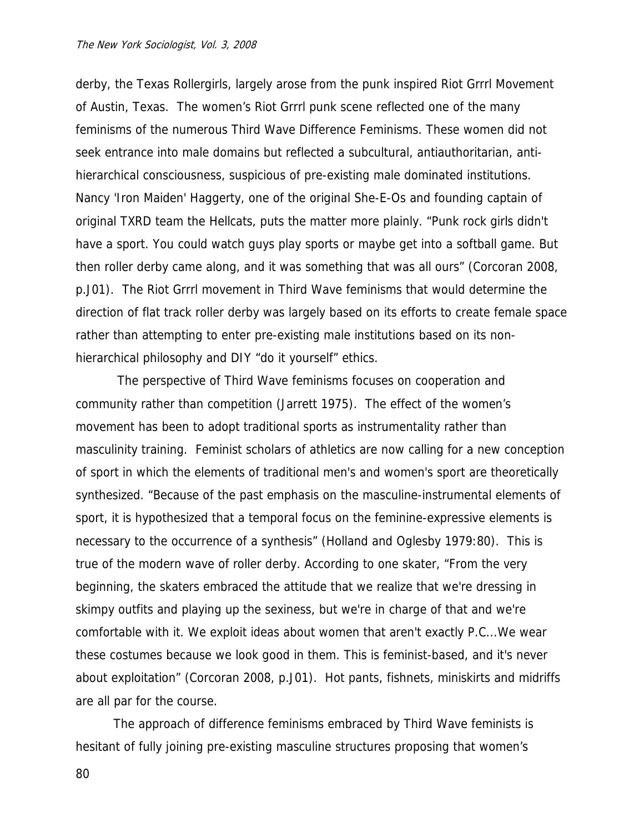derby, the Texas Rollergirls, largely arose from the punk inspired Riot Grrrl Movement of Austin, Texas. The women's Riot Grrrl punk scene reflected one of the many feminisms of the numerous Third Wave Difference Feminisms. These women did not seek entrance into male domains but reflected a subcultural, antiauthoritarian, antihierarchical consciousness, suspicious of pre-existing male dominated institutions. Nancy 'Iron Maiden' Haggerty, one of the original She-E-Os and founding captain of original TXRD team the Hellcats, puts the matter more plainly. "Punk rock girls didn't have a sport. You could watch guys play sports or maybe get into a softball game. But then roller derby came along, and it was something that was all ours" (Corcoran 2008, p.J01). The Riot Grrrl movement in Third Wave feminisms that would determine the direction of flat track roller derby was largely based on its efforts to create female space rather than attempting to enter pre-existing male institutions based on its nonhierarchical philosophy and DIY "do it yourself" ethics.

 The perspective of Third Wave feminisms focuses on cooperation and community rather than competition (Jarrett 1975). The effect of the women's movement has been to adopt traditional sports as instrumentality rather than masculinity training. Feminist scholars of athletics are now calling for a new conception of sport in which the elements of traditional men's and women's sport are theoretically synthesized. "Because of the past emphasis on the masculine-instrumental elements of sport, it is hypothesized that a temporal focus on the feminine-expressive elements is necessary to the occurrence of a synthesis" (Holland and Oglesby 1979:80). This is true of the modern wave of roller derby. According to one skater, "From the very beginning, the skaters embraced the attitude that we realize that we're dressing in skimpy outfits and playing up the sexiness, but we're in charge of that and we're comfortable with it. We exploit ideas about women that aren't exactly P.C...We wear these costumes because we look good in them. This is feminist-based, and it's never about exploitation" (Corcoran 2008, p.J01). Hot pants, fishnets, miniskirts and midriffs are all par for the course.

 The approach of difference feminisms embraced by Third Wave feminists is hesitant of fully joining pre-existing masculine structures proposing that women's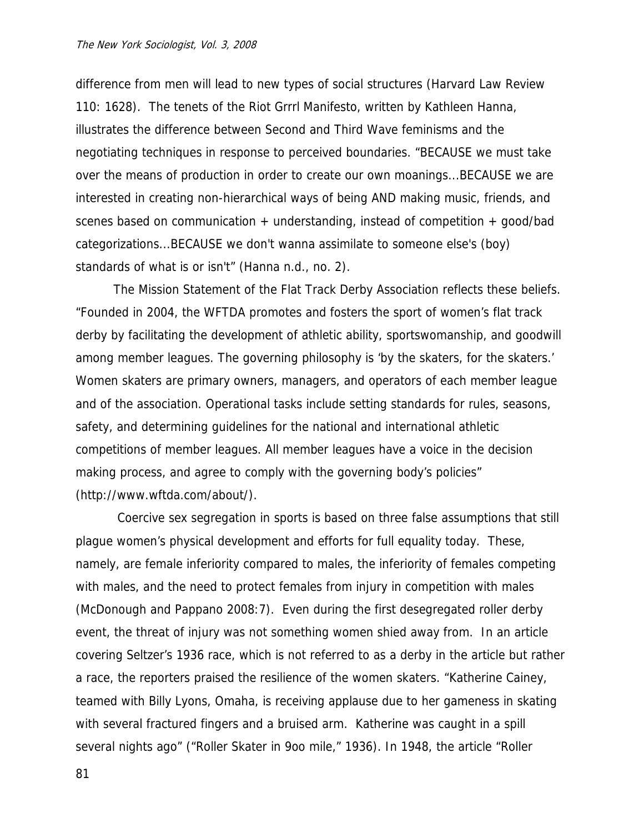difference from men will lead to new types of social structures (Harvard Law Review 110: 1628). The tenets of the Riot Grrrl Manifesto, written by Kathleen Hanna, illustrates the difference between Second and Third Wave feminisms and the negotiating techniques in response to perceived boundaries. "BECAUSE we must take over the means of production in order to create our own moanings...BECAUSE we are interested in creating non-hierarchical ways of being AND making music, friends, and scenes based on communication + understanding, instead of competition + good/bad categorizations...BECAUSE we don't wanna assimilate to someone else's (boy) standards of what is or isn't" (Hanna n.d., no. 2).

 The Mission Statement of the Flat Track Derby Association reflects these beliefs. "Founded in 2004, the WFTDA promotes and fosters the sport of women's flat track derby by facilitating the development of athletic ability, sportswomanship, and goodwill among member leagues. The governing philosophy is 'by the skaters, for the skaters.' Women skaters are primary owners, managers, and operators of each member league and of the association. Operational tasks include setting standards for rules, seasons, safety, and determining guidelines for the national and international athletic competitions of member leagues. All member leagues have a voice in the decision making process, and agree to comply with the governing body's policies" (http://www.wftda.com/about/).

 Coercive sex segregation in sports is based on three false assumptions that still plague women's physical development and efforts for full equality today. These, namely, are female inferiority compared to males, the inferiority of females competing with males, and the need to protect females from injury in competition with males (McDonough and Pappano 2008:7). Even during the first desegregated roller derby event, the threat of injury was not something women shied away from. In an article covering Seltzer's 1936 race, which is not referred to as a derby in the article but rather a race, the reporters praised the resilience of the women skaters. "Katherine Cainey, teamed with Billy Lyons, Omaha, is receiving applause due to her gameness in skating with several fractured fingers and a bruised arm. Katherine was caught in a spill several nights ago" ("Roller Skater in 9oo mile," 1936). In 1948, the article "Roller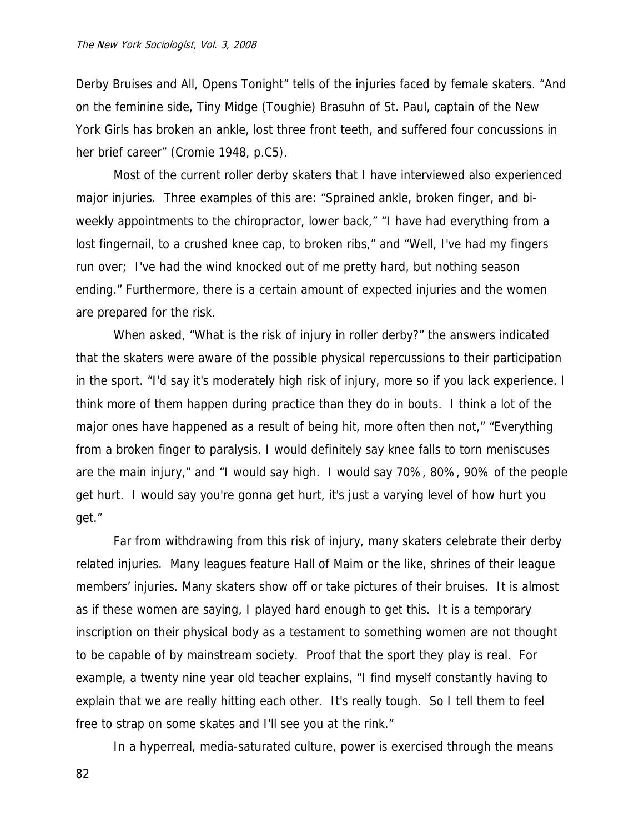Derby Bruises and All, Opens Tonight" tells of the injuries faced by female skaters. "And on the feminine side, Tiny Midge (Toughie) Brasuhn of St. Paul, captain of the New York Girls has broken an ankle, lost three front teeth, and suffered four concussions in her brief career" (Cromie 1948, p.C5).

 Most of the current roller derby skaters that I have interviewed also experienced major injuries. Three examples of this are: "Sprained ankle, broken finger, and biweekly appointments to the chiropractor, lower back," "I have had everything from a lost fingernail, to a crushed knee cap, to broken ribs," and "Well, I've had my fingers run over; I've had the wind knocked out of me pretty hard, but nothing season ending." Furthermore, there is a certain amount of expected injuries and the women are prepared for the risk.

 When asked, "What is the risk of injury in roller derby?" the answers indicated that the skaters were aware of the possible physical repercussions to their participation in the sport. "I'd say it's moderately high risk of injury, more so if you lack experience. I think more of them happen during practice than they do in bouts. I think a lot of the major ones have happened as a result of being hit, more often then not," "Everything from a broken finger to paralysis. I would definitely say knee falls to torn meniscuses are the main injury," and "I would say high. I would say 70%, 80%, 90% of the people get hurt. I would say you're gonna get hurt, it's just a varying level of how hurt you get."

 Far from withdrawing from this risk of injury, many skaters celebrate their derby related injuries. Many leagues feature Hall of Maim or the like, shrines of their league members' injuries. Many skaters show off or take pictures of their bruises. It is almost as if these women are saying, I played hard enough to get this. It is a temporary inscription on their physical body as a testament to something women are not thought to be capable of by mainstream society. Proof that the sport they play is real. For example, a twenty nine year old teacher explains, "I find myself constantly having to explain that we are really hitting each other. It's really tough. So I tell them to feel free to strap on some skates and I'll see you at the rink."

In a hyperreal, media-saturated culture, power is exercised through the means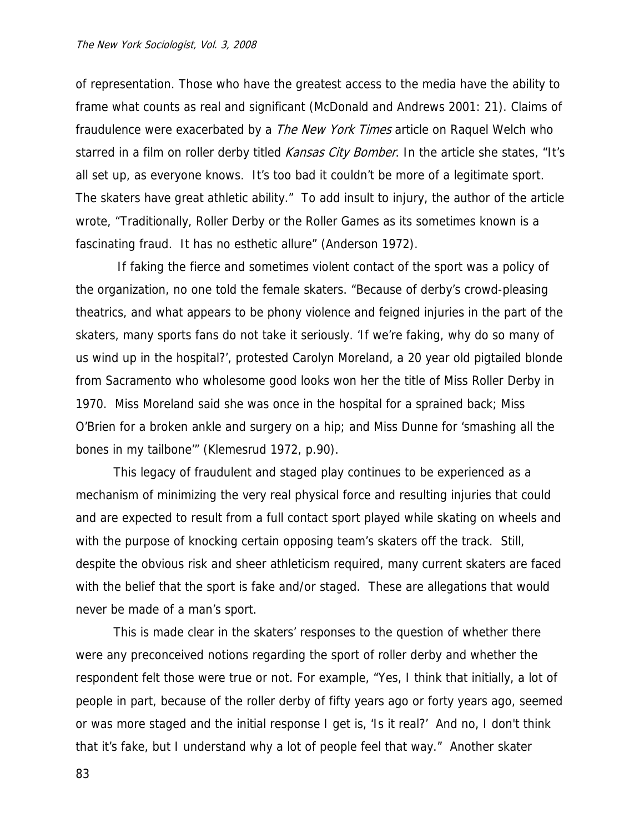of representation. Those who have the greatest access to the media have the ability to frame what counts as real and significant (McDonald and Andrews 2001: 21). Claims of fraudulence were exacerbated by a *The New York Times* article on Raquel Welch who starred in a film on roller derby titled Kansas City Bomber. In the article she states, "It's all set up, as everyone knows. It's too bad it couldn't be more of a legitimate sport. The skaters have great athletic ability." To add insult to injury, the author of the article wrote, "Traditionally, Roller Derby or the Roller Games as its sometimes known is a fascinating fraud. It has no esthetic allure" (Anderson 1972).

 If faking the fierce and sometimes violent contact of the sport was a policy of the organization, no one told the female skaters. "Because of derby's crowd-pleasing theatrics, and what appears to be phony violence and feigned injuries in the part of the skaters, many sports fans do not take it seriously. 'If we're faking, why do so many of us wind up in the hospital?', protested Carolyn Moreland, a 20 year old pigtailed blonde from Sacramento who wholesome good looks won her the title of Miss Roller Derby in 1970. Miss Moreland said she was once in the hospital for a sprained back; Miss O'Brien for a broken ankle and surgery on a hip; and Miss Dunne for 'smashing all the bones in my tailbone'" (Klemesrud 1972, p.90).

 This legacy of fraudulent and staged play continues to be experienced as a mechanism of minimizing the very real physical force and resulting injuries that could and are expected to result from a full contact sport played while skating on wheels and with the purpose of knocking certain opposing team's skaters off the track. Still, despite the obvious risk and sheer athleticism required, many current skaters are faced with the belief that the sport is fake and/or staged. These are allegations that would never be made of a man's sport.

 This is made clear in the skaters' responses to the question of whether there were any preconceived notions regarding the sport of roller derby and whether the respondent felt those were true or not. For example, "Yes, I think that initially, a lot of people in part, because of the roller derby of fifty years ago or forty years ago, seemed or was more staged and the initial response I get is, 'Is it real?' And no, I don't think that it's fake, but I understand why a lot of people feel that way." Another skater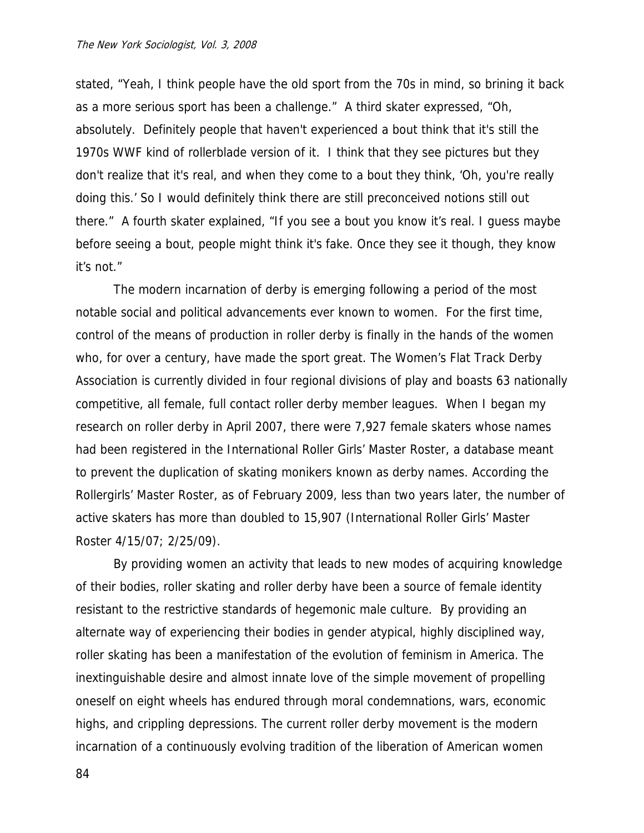stated, "Yeah, I think people have the old sport from the 70s in mind, so brining it back as a more serious sport has been a challenge." A third skater expressed, "Oh, absolutely. Definitely people that haven't experienced a bout think that it's still the 1970s WWF kind of rollerblade version of it. I think that they see pictures but they don't realize that it's real, and when they come to a bout they think, 'Oh, you're really doing this.' So I would definitely think there are still preconceived notions still out there." A fourth skater explained, "If you see a bout you know it's real. I guess maybe before seeing a bout, people might think it's fake. Once they see it though, they know it's not."

 The modern incarnation of derby is emerging following a period of the most notable social and political advancements ever known to women. For the first time, control of the means of production in roller derby is finally in the hands of the women who, for over a century, have made the sport great. The Women's Flat Track Derby Association is currently divided in four regional divisions of play and boasts 63 nationally competitive, all female, full contact roller derby member leagues. When I began my research on roller derby in April 2007, there were 7,927 female skaters whose names had been registered in the International Roller Girls' Master Roster, a database meant to prevent the duplication of skating monikers known as derby names. According the Rollergirls' Master Roster, as of February 2009, less than two years later, the number of active skaters has more than doubled to 15,907 (International Roller Girls' Master Roster 4/15/07; 2/25/09).

 By providing women an activity that leads to new modes of acquiring knowledge of their bodies, roller skating and roller derby have been a source of female identity resistant to the restrictive standards of hegemonic male culture. By providing an alternate way of experiencing their bodies in gender atypical, highly disciplined way, roller skating has been a manifestation of the evolution of feminism in America. The inextinguishable desire and almost innate love of the simple movement of propelling oneself on eight wheels has endured through moral condemnations, wars, economic highs, and crippling depressions. The current roller derby movement is the modern incarnation of a continuously evolving tradition of the liberation of American women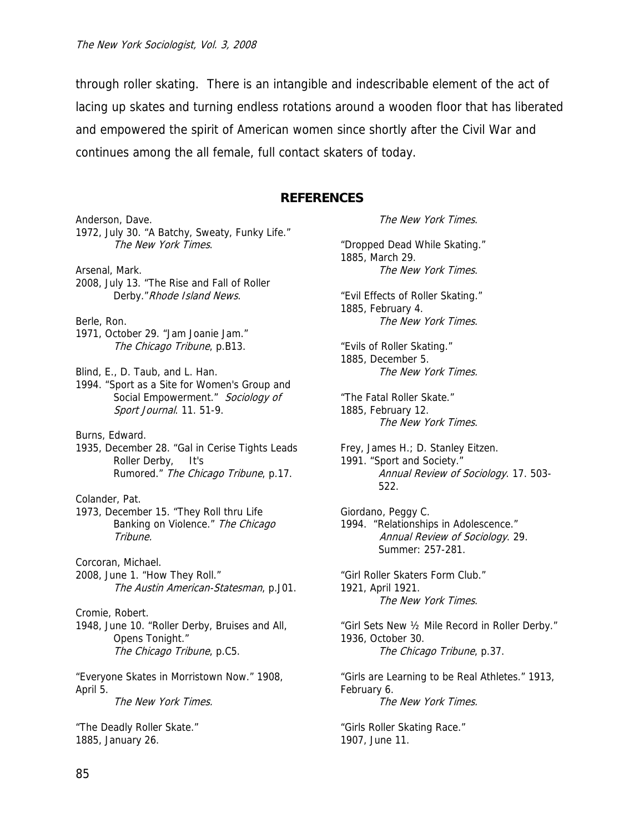through roller skating. There is an intangible and indescribable element of the act of lacing up skates and turning endless rotations around a wooden floor that has liberated and empowered the spirit of American women since shortly after the Civil War and continues among the all female, full contact skaters of today.

### **REFERENCES**

Anderson, Dave. 1972, July 30. "A Batchy, Sweaty, Funky Life." The New York Times. Arsenal, Mark. 2008, July 13. "The Rise and Fall of Roller Derby." Rhode Island News. Berle, Ron. 1971, October 29. "Jam Joanie Jam." The Chicago Tribune, p.B13. Blind, E., D. Taub, and L. Han. 1994. "Sport as a Site for Women's Group and Social Empowerment." Sociology of Sport Journal. 11. 51-9. Burns, Edward. 1935, December 28. "Gal in Cerise Tights Leads Roller Derby, It's Rumored." The Chicago Tribune, p.17. Colander, Pat. 1973, December 15. "They Roll thru Life Banking on Violence." The Chicago Tribune. Corcoran, Michael. 2008, June 1. "How They Roll." The Austin American-Statesman, p.J01. Cromie, Robert. 1948, June 10. "Roller Derby, Bruises and All, Opens Tonight." The Chicago Tribune, p.C5. "Everyone Skates in Morristown Now." 1908, April 5. The New York Times. "The Deadly Roller Skate." 1885, January 26.

The New York Times. "Dropped Dead While Skating." 1885, March 29. The New York Times. "Evil Effects of Roller Skating." 1885, February 4. The New York Times. "Evils of Roller Skating." 1885, December 5. The New York Times. "The Fatal Roller Skate." 1885, February 12. The New York Times. Frey, James H.; D. Stanley Eitzen. 1991. "Sport and Society." Annual Review of Sociology. 17. 503- 522. Giordano, Peggy C. 1994. "Relationships in Adolescence." Annual Review of Sociology. 29. Summer: 257-281. "Girl Roller Skaters Form Club." 1921, April 1921. The New York Times. "Girl Sets New ½ Mile Record in Roller Derby." 1936, October 30. The Chicago Tribune, p.37. "Girls are Learning to be Real Athletes." 1913, February 6. The New York Times. "Girls Roller Skating Race." 1907, June 11.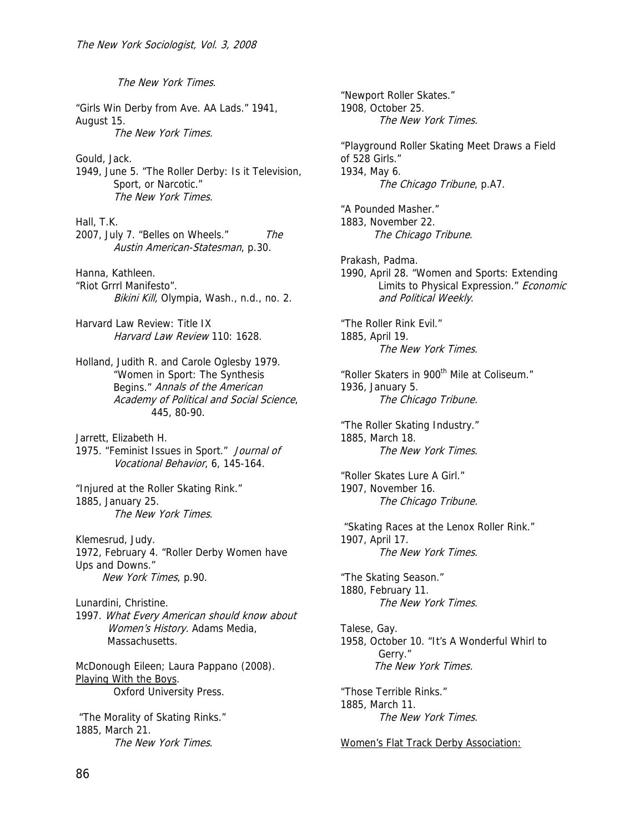The New York Times. "Girls Win Derby from Ave. AA Lads." 1941, August 15. The New York Times. Gould, Jack. 1949, June 5. "The Roller Derby: Is it Television, Sport, or Narcotic." The New York Times. Hall, T.K. 2007, July 7. "Belles on Wheels." The Austin American-Statesman, p.30. Hanna, Kathleen. "Riot Grrrl Manifesto". Bikini Kill, Olympia, Wash., n.d., no. 2. Harvard Law Review: Title IX Harvard Law Review 110: 1628. Holland, Judith R. and Carole Oglesby 1979. "Women in Sport: The Synthesis Begins." Annals of the American Academy of Political and Social Science, 445, 80-90. Jarrett, Elizabeth H. 1975. "Feminist Issues in Sport." Journal of Vocational Behavior, 6, 145-164. "Injured at the Roller Skating Rink." 1885, January 25. The New York Times. Klemesrud, Judy. 1972, February 4. "Roller Derby Women have Ups and Downs." New York Times, p.90. Lunardini, Christine. 1997. What Every American should know about Women's History. Adams Media, Massachusetts. McDonough Eileen; Laura Pappano (2008). Playing With the Boys. Oxford University Press. "The Morality of Skating Rinks." 1885, March 21. The New York Times.

"Newport Roller Skates." 1908, October 25. The New York Times. "Playground Roller Skating Meet Draws a Field of 528 Girls." 1934, May 6. The Chicago Tribune, p.A7. "A Pounded Masher." 1883, November 22. The Chicago Tribune. Prakash, Padma. 1990, April 28. "Women and Sports: Extending Limits to Physical Expression." Economic and Political Weekly. "The Roller Rink Evil." 1885, April 19. The New York Times. "Roller Skaters in 900<sup>th</sup> Mile at Coliseum." 1936, January 5. The Chicago Tribune. "The Roller Skating Industry." 1885, March 18. The New York Times. "Roller Skates Lure A Girl." 1907, November 16. The Chicago Tribune. "Skating Races at the Lenox Roller Rink." 1907, April 17. The New York Times. "The Skating Season." 1880, February 11. The New York Times. Talese, Gay. 1958, October 10. "It's A Wonderful Whirl to Gerry." The New York Times. "Those Terrible Rinks." 1885, March 11. The New York Times. Women's Flat Track Derby Association: